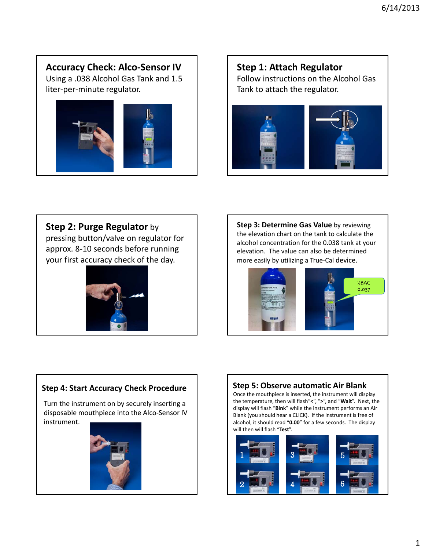## **Accuracy Check: Alco‐Sensor IV**

Using a .038 Alcohol Gas Tank and 1.5 liter‐per‐minute regulator.



## **Step 1: Attach Regulator** Follow instructions on the Alcohol Gas Tank to attach the regulator.



## **Step 2: Purge Regulator** by

pressing button/valve on regulator for approx. 8‐10 seconds before running your first accuracy check of the day.



**Step 3: Determine Gas Value** by reviewing the elevation chart on the tank to calculate the alcohol concentration for the 0.038 tank at your elevation. The value can also be determined more easily by utilizing a True‐Cal device.



#### **Step 4: Start Accuracy Check Procedure**

Turn the instrument on by securely inserting a disposable mouthpiece into the Alco‐Sensor IV instrument.



## **Step 5: Observe automatic Air Blank**

Once the mouthpiece is inserted, the instrument will display the temperature, then will flash"**<**", "**>**", and "**Wait**". Next, the display will flash "**Blnk**" while the instrument performs an Air Blank (you should hear a CLICK). If the instrument is free of alcohol, it should read "**0.00**" for a few seconds. The display will then will flash "**Test**".

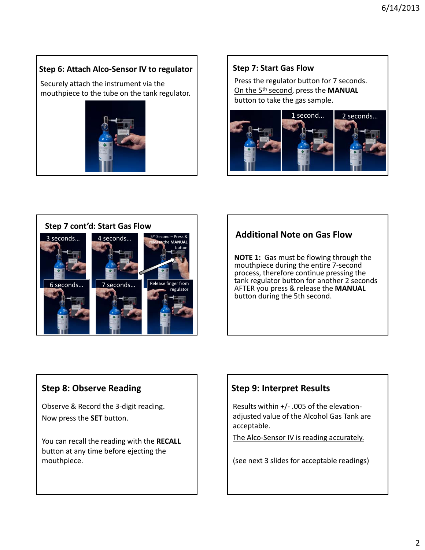#### **Step 6: Attach Alco‐Sensor IV to regulator**

Securely attach the instrument via the mouthpiece to the tube on the tank regulator.



## **Step 7: Start Gas Flow**

Press the regulator button for 7 seconds. On the 5th second, press the **MANUAL** button to take the gas sample.





## **Additional Note on Gas Flow**

**NOTE 1:** Gas must be flowing through the mouthpiece during the entire 7‐second process, therefore continue pressing the tank regulator button for another 2 seconds AFTER you press & release the **MANUAL** button during the 5th second.

## **Step 8: Observe Reading**

Observe & Record the 3‐digit reading. Now press the **SET** button.

You can recall the reading with the **RECALL** button at any time before ejecting the mouthpiece.

## **Step 9: Interpret Results**

Results within +/‐ .005 of the elevation‐ adjusted value of the Alcohol Gas Tank are acceptable.

The Alco-Sensor IV is reading accurately.

(see next 3 slides for acceptable readings)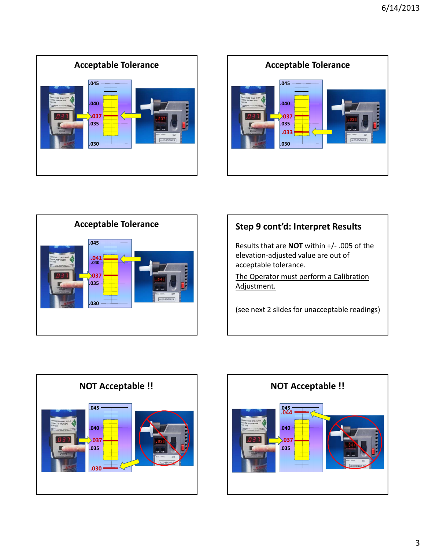





# **Step 9 cont'd: Interpret Results**

Results that are **NOT** within +/‐ .005 of the elevation‐adjusted value are out of acceptable tolerance.

The Operator must perform a Calibration Adjustment.

(see next 2 slides for unacceptable readings)